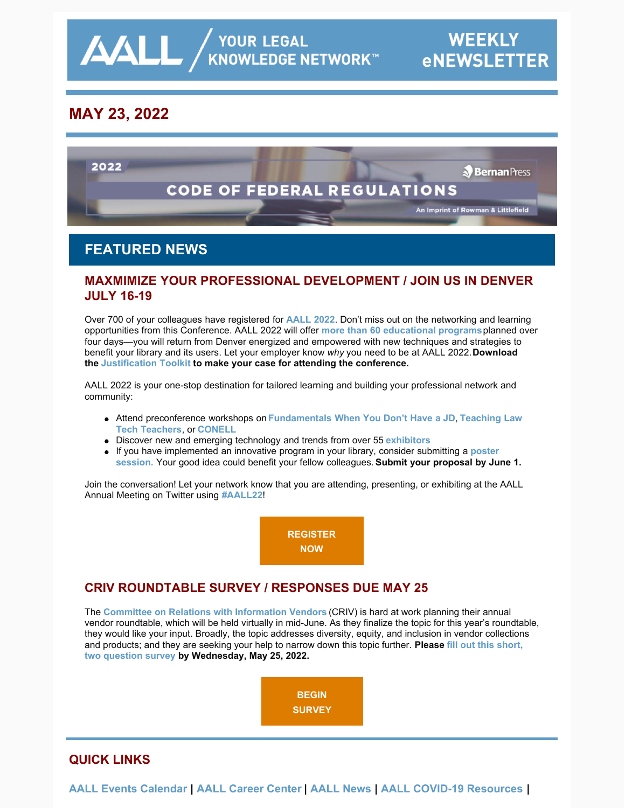│ YOUR LEGAL<br>KNOWLEDGE NETWORK™

# **MAY 23, 2022**

 $\Delta\Delta L$ 



## **FEATURED NEWS**

### **MAXMIMIZE YOUR PROFESSIONAL DEVELOPMENT / JOIN US IN DENVER JULY 16-19**

Over 700 of your colleagues have registered for **[AALL 2022](https://www.aallnet.org/conference/)**. Don't miss out on the networking and learning opportunities from this Conference. AALL 2022 will offer **[more than 60 educational programs](https://eventmobi.com/aall2022/agenda/a726b21f-5b6b-4478-8355-f5025035fcf1/day/all)**planned over four days—you will return from Denver energized and empowered with new techniques and strategies to benefit your library and its users. Let your employer know *why* you need to be at AALL 2022. **Download the [Justification Toolkit](https://www.aallnet.org/conference/wp-content/uploads/sites/18/2022/05/AALL-Annual-Meeting-Justification-Toolkit-FINAL-WEB.pdf) to make your case for attending the conference.**

AALL 2022 is your one-stop destination for tailored learning and building your professional network and community:

- Attend preconference workshops on **[Fundamentals When You Don't Have a J](https://eventmobi.com/aall2022/agenda/a726b21f-5b6b-4478-8355-f5025035fcf1/session/dffcb605-8c70-4fed-97a2-d7a6dc09e469)[D](https://eventmobi.com/aall2022/agenda/a726b21f-5b6b-4478-8355-f5025035fcf1/session/7ee0ac44-536a-49ab-8e5f-b65575a8102c)**, **Teaching Law Tech Teachers**, or **[CONELL](https://eventmobi.com/aall2022/agenda/a726b21f-5b6b-4478-8355-f5025035fcf1/session/09648086-796c-4b3e-b5a1-3fcd5d7936e0)**
- Discover new and emerging technology and trends from over 55 **[exhibitors](https://eventmobi.com/aall2022/companies/05062b8e-7851-4f1a-a344-971a35ae2dd6)**
- [If you have implemented an innovative program in your library, consider submitting a](https://www.aallnet.org/conference/resources/call-poster-sessions/) **poster session.** Your good idea could benefit your fellow colleagues. **Submit your proposal by June 1.**

Join the conversation! Let your network know that you are attending, presenting, or exhibiting at the AALL Annual Meeting on Twitter using **[#AALL22](https://twitter.com/search?q=AALL22&src=typed_query&f=live)**!

> **[REGISTER](https://aallconference.org/registration/) NOW**

## **CRIV ROUNDTABLE SURVEY / RESPONSES DUE MAY 25**

The **[Committee on Relations with Information Vendors](https://www.aallnet.org/about-us/who-we-are/committees-juries/committee-relations-information-vendors-criv/)** (CRIV) is hard at work planning their annual vendor roundtable, which will be held virtually in mid-June. As they finalize the topic for this year's roundtable, they would like your input. Broadly, the topic addresses diversity, equity, and inclusion in vendor collections [and products; and they are seeking your help to narrow down this topic further.](https://www.surveymonkey.com/r/JHN6TLH) **Please fill out this short, two question survey by Wednesday, May 25, 2022.**



### **QUICK LINKS**

**[AALL Events Calendar](https://www.aallnet.org/forms/MeetingCalendar/) | [AALL Career Center](https://careers.aallnet.org/) | [AALL News](https://www.aallnet.org/about-us/press-room/news/) | [AALL COVID-19 Resources](https://www.aallnet.org/about-us/press-room/coronavirus/) |**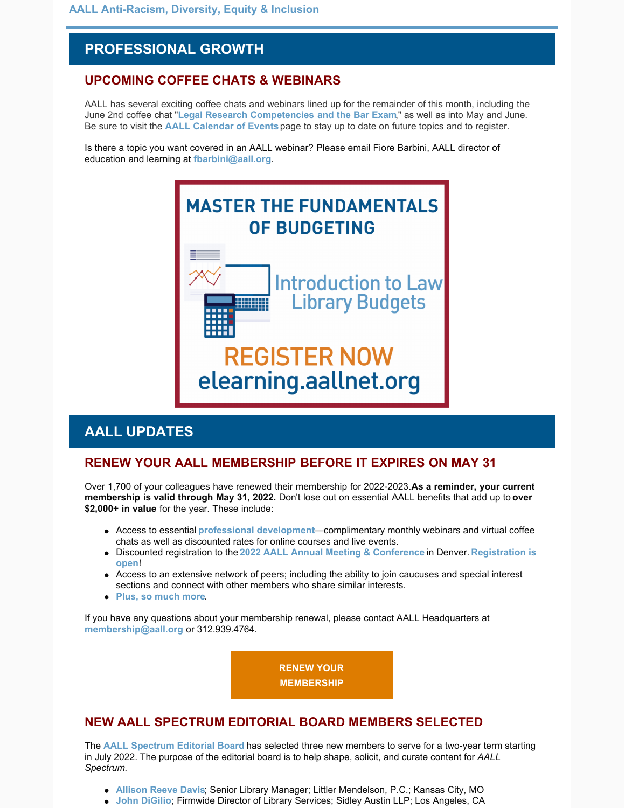# **PROFESSIONAL GROWTH**

### **UPCOMING COFFEE CHATS & WEBINARS**

AALL has several exciting coffee chats and webinars lined up for the remainder of this month, including the June 2nd coffee chat "**[Legal Research Competencies and the Bar Exam](https://elearning.aallnet.org/products/virtual-coffee-chat-legal-research-competencies-and-the-bar-exam)**," as well as into May and June. Be sure to visit the **[AALL Calendar of Events](https://www.aallnet.org/forms/MeetingCalendar/)**page to stay up to date on future topics and to register.

Is there a topic you want covered in an AALL webinar? Please email Fiore Barbini, AALL director of education and learning at **[fbarbini@aall.org](mailto:fbarbini@aall.org)**.



## **AALL UPDATES**

#### **RENEW YOUR AALL MEMBERSHIP BEFORE IT EXPIRES ON MAY 31**

Over 1,700 of your colleagues have renewed their membership for 2022-2023. As a reminder, your current **membership is valid through May 31, 2022.** Don't lose out on essential AALL benefits that add up to **over \$2,000+ in value** for the year. These include:

- Access to essential **[professional development](https://elearning.aallnet.org/)**—complimentary monthly webinars and virtual coffee chats as well as discounted rates for online courses and live events.
- Discounted registration to the **[2022 AALL Annual Meeting & Conference](https://aallconference.org/registration/)** in Denver. **Registration is open**!
- Access to an extensive network of peers; including the ability to join caucuses and special interest sections and connect with other members who share similar interests.
- **[Plus, so much more](https://www.aallnet.org/community/membership/benefits/)**.

If you have any questions about your membership renewal, please contact AALL Headquarters at **[membership@aall.org](mailto:membership@aall.org)** or 312.939.4764.

> **[RENEW YOUR](https://www.aallnet.org/community/membership/join-renew/) MEMBERSHIP**

### **NEW AALL SPECTRUM EDITORIAL BOARD MEMBERS SELECTED**

The **[AALL Spectrum Editorial Board](https://www.aallnet.org/about-us/who-we-are/committees-juries/aall-spectrum-editorial-board/)** has selected three new members to serve for a two-year term starting in July 2022. The purpose of the editorial board is to help shape, solicit, and curate content for *AALL Spectrum*.

- **[Allison Reeve Davis](https://www.aallnet.org/members_only/membership/IndividualFormPublicMembers/detail?id=20100189C76)**; Senior Library Manager; Littler Mendelson, P.C.; Kansas City, MO
- **[John DiGilio](https://www.aallnet.org/members_only/membership/IndividualFormPublicMembers/detail?id=201000AF49E)**; Firmwide Director of Library Services; Sidley Austin LLP; Los Angeles, CA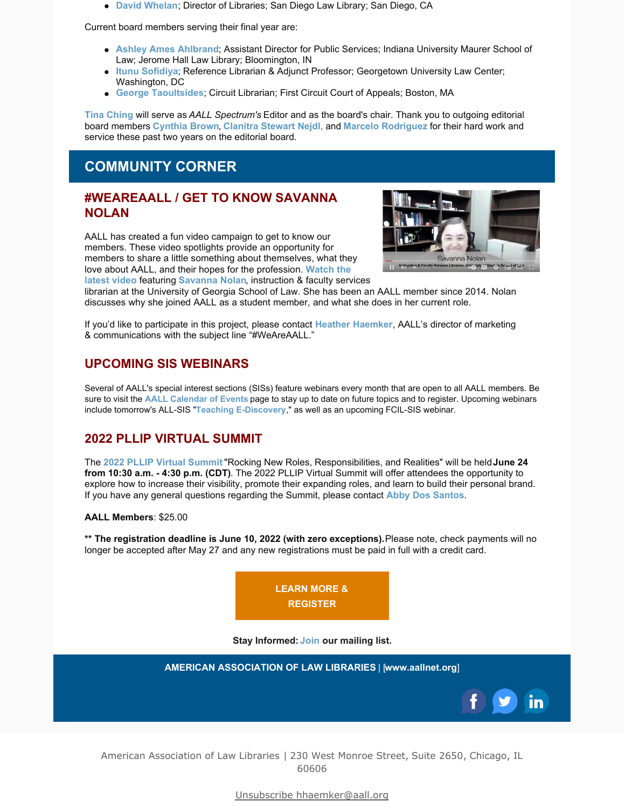**[David Whelan](https://www.aallnet.org/members_only/membership/IndividualFormPublicMembers/detail?id=201000824D8)**; Director of Libraries; San Diego Law Library; San Diego, CA

Current board members serving their final year are:

- **[Ashley Ames Ahlbrand](https://www.aallnet.org/members_only/membership/IndividualFormPublicMembers/detail?id=2010017FD5F)**; Assistant Director for Public Services; Indiana University Maurer School of Law; Jerome Hall Law Library; Bloomington, IN
- **[Itunu Sofidiya](https://www.aallnet.org/members_only/membership/IndividualFormPublicMembers/detail?id=2010019A56E)**; Reference Librarian & Adjunct Professor; Georgetown University Law Center; Washington, DC
- **[George Taoultsides](https://www.aallnet.org/members_only/membership/IndividualFormPublicMembers/detail?id=201001566C0)**; Circuit Librarian; First Circuit Court of Appeals; Boston, MA

**[Tina Ching](https://www.aallnet.org/members_only/membership/IndividualFormPublicMembers/detail?id=2010012D737)** will serve as *AALL Spectrum's* Editor and as the board's chair. Thank you to outgoing editorial board members **[Cynthia Brown](https://www.aallnet.org/members_only/membership/IndividualFormPublicMembers/detail?id=20100122620)**, **[Clanitra Stewart Nejdl,](https://www.aallnet.org/members_only/membership/IndividualFormPublicMembers/detail?id=201001831A7)** and **[Marcelo Rodriguez](https://www.aallnet.org/members_only/membership/IndividualFormPublicMembers/detail?id=201001AAA92)** for their hard work and service these past two years on the editorial board.

# **COMMUNITY CORNER**

#### **#WEAREAALL / GET TO KNOW SAVANNA NOLAN**

AALL has created a fun video campaign to get to know our members. These video spotlights provide an opportunity for members to share a little something about themselves, what they [love about AALL, and their hopes for the profession.](https://www.aallnet.org/community/membership/meet-our-members/weareaall/) **Watch the latest video** featuring **[Savanna Nolan](https://www.aallnet.org/members_only/membership/IndividualFormPublicMembers/detail?id=201001AAF79)**, instruction & faculty services



librarian at the University of Georgia School of Law. She has been an AALL member since 2014. Nolan discusses why she joined AALL as a student member, and what she does in her current role.

If you'd like to participate in this project, please contact **[Heather Haemker](mailto:hhaemker@aall.org)**, AALL's director of marketing & communications with the subject line "#WeAreAALL."

### **UPCOMING SIS WEBINARS**

Several of AALL's special interest sections (SISs) feature webinars every month that are open to all AALL members. Be sure to visit the **[AALL Calendar of Events](https://www.aallnet.org/forms/MeetingCalendar/)** page to stay up to date on future topics and to register. Upcoming webinars include tomorrow's ALL-SIS "**[Teaching E-Discovery](https://www.aallnet.org/forms/meeting/MeetingFormPublic/view?id=8F6640000002A)**," as well as an upcoming FCIL-SIS webinar.

#### **2022 PLLIP VIRTUAL SUMMIT**

The **[2022 PLLIP Virtual Summit](https://pllsummit.wordpress.com/2022-pllip-summit/)** "Rocking New Roles, Responsibilities, and Realities" will be held **June 24 from 10:30 a.m. - 4:30 p.m. (CDT)**. The 2022 PLLIP Virtual Summit will offer attendees the opportunity to explore how to increase their visibility, promote their expanding roles, and learn to build their personal brand. If you have any general questions regarding the Summit, please contact **[Abby Dos Santos](mailto:adossantos@capdale.com)**.

**AALL Members**: \$25.00

**\*\* The registration deadline is June 10, 2022 (with zero exceptions).** Please note, check payments will no longer be accepted after May 27 and any new registrations must be paid in full with a credit card.



**Stay Informed: [Join](https://visitor.r20.constantcontact.com/manage/optin?v=001A1aP_pJcM6L7bB3jAkgRw1IDphTGZjhE) our mailing list.**



American Association of Law Libraries | 230 West Monroe Street, Suite 2650, Chicago, IL 60606

Unsubscribe hhaemker@aall.org